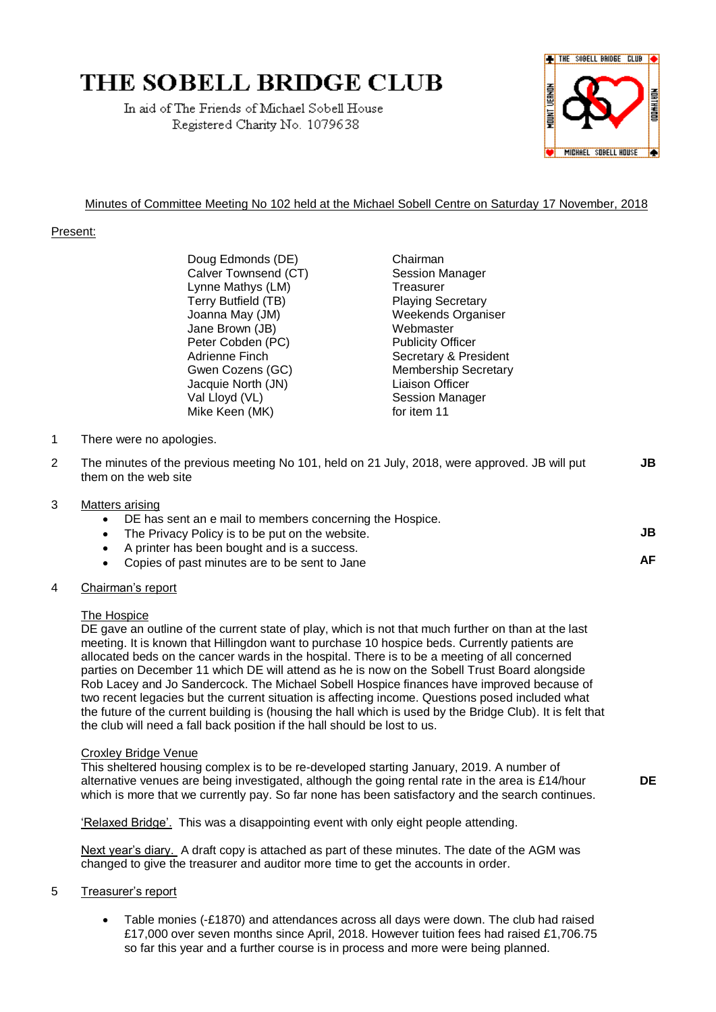# THE SOBELL BRIDGE CLUB

In aid of The Friends of Michael Sobell House Registered Charity No. 1079638



**JB**

**AF**

**DE**

## Minutes of Committee Meeting No 102 held at the Michael Sobell Centre on Saturday 17 November, 2018

## Present:

Doug Edmonds (DE) Chairman Calver Townsend (CT) Session Manager Lynne Mathys (LM) Treasurer Terry Butfield (TB) Playing Secretary Joanna May (JM) Weekends Organiser Jane Brown (JB) Webmaster Peter Cobden (PC) Publicity Officer Jacquie North (JN) Liaison Officer Val Lloyd (VL) Session Manager Mike Keen (MK) for item 11

Adrienne Finch Secretary & President Gwen Cozens (GC) Membership Secretary

- 1 There were no apologies.
- 2 The minutes of the previous meeting No 101, held on 21 July, 2018, were approved. JB will put them on the web site **JB**
- 3 Matters arising
	- DE has sent an e mail to members concerning the Hospice.
	- The Privacy Policy is to be put on the website.
	- A printer has been bought and is a success.
	- Copies of past minutes are to be sent to Jane

#### 4 Chairman's report

#### The Hospice

DE gave an outline of the current state of play, which is not that much further on than at the last meeting. It is known that Hillingdon want to purchase 10 hospice beds. Currently patients are allocated beds on the cancer wards in the hospital. There is to be a meeting of all concerned parties on December 11 which DE will attend as he is now on the Sobell Trust Board alongside Rob Lacey and Jo Sandercock. The Michael Sobell Hospice finances have improved because of two recent legacies but the current situation is affecting income. Questions posed included what the future of the current building is (housing the hall which is used by the Bridge Club). It is felt that the club will need a fall back position if the hall should be lost to us.

#### Croxley Bridge Venue

This sheltered housing complex is to be re-developed starting January, 2019. A number of alternative venues are being investigated, although the going rental rate in the area is £14/hour which is more that we currently pay. So far none has been satisfactory and the search continues.

'Relaxed Bridge'. This was a disappointing event with only eight people attending.

Next year's diary. A draft copy is attached as part of these minutes. The date of the AGM was changed to give the treasurer and auditor more time to get the accounts in order.

## 5 Treasurer's report

• Table monies (-£1870) and attendances across all days were down. The club had raised £17,000 over seven months since April, 2018. However tuition fees had raised £1,706.75 so far this year and a further course is in process and more were being planned.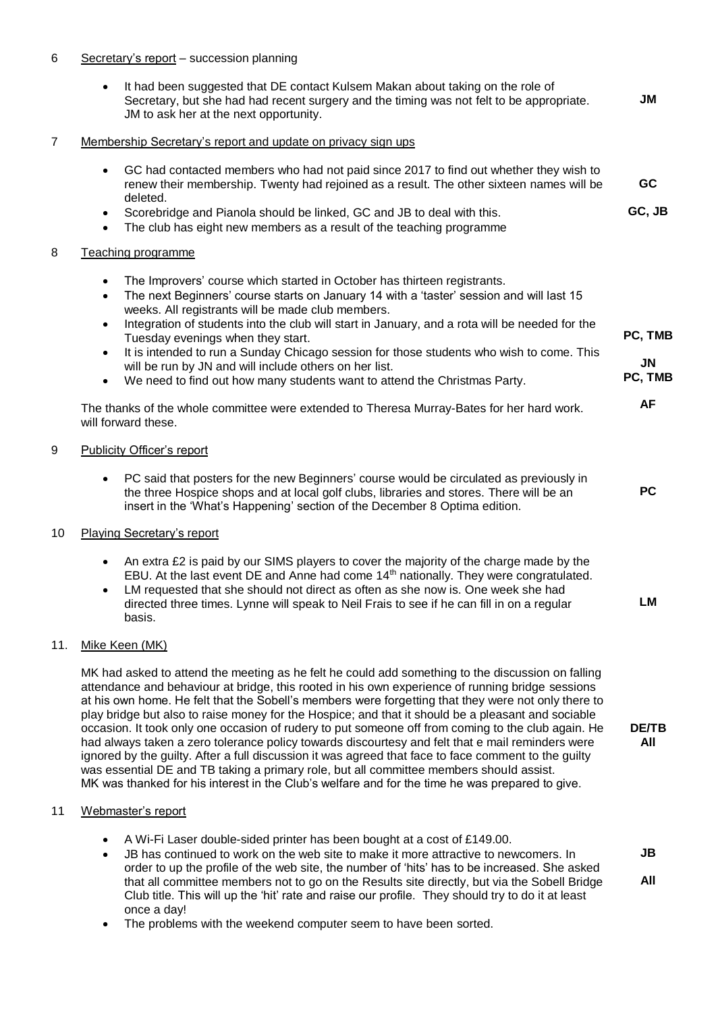### 6 Secretary's report – succession planning

|     | It had been suggested that DE contact Kulsem Makan about taking on the role of<br>$\bullet$<br>Secretary, but she had had recent surgery and the timing was not felt to be appropriate.<br>JM to ask her at the next opportunity.                                                                                                                                                                                  | JM            |
|-----|--------------------------------------------------------------------------------------------------------------------------------------------------------------------------------------------------------------------------------------------------------------------------------------------------------------------------------------------------------------------------------------------------------------------|---------------|
| 7   | Membership Secretary's report and update on privacy sign ups                                                                                                                                                                                                                                                                                                                                                       |               |
|     | GC had contacted members who had not paid since 2017 to find out whether they wish to<br>$\bullet$<br>renew their membership. Twenty had rejoined as a result. The other sixteen names will be                                                                                                                                                                                                                     | <b>GC</b>     |
|     | deleted.<br>Scorebridge and Pianola should be linked, GC and JB to deal with this.<br>$\bullet$<br>The club has eight new members as a result of the teaching programme<br>$\bullet$                                                                                                                                                                                                                               | GC, JB        |
| 8   | Teaching programme                                                                                                                                                                                                                                                                                                                                                                                                 |               |
|     | The Improvers' course which started in October has thirteen registrants.<br>$\bullet$<br>The next Beginners' course starts on January 14 with a 'taster' session and will last 15<br>$\bullet$<br>weeks. All registrants will be made club members.                                                                                                                                                                |               |
|     | Integration of students into the club will start in January, and a rota will be needed for the<br>$\bullet$<br>Tuesday evenings when they start.                                                                                                                                                                                                                                                                   | PC, TMB       |
|     | It is intended to run a Sunday Chicago session for those students who wish to come. This<br>$\bullet$<br>will be run by JN and will include others on her list.<br>We need to find out how many students want to attend the Christmas Party.<br>$\bullet$                                                                                                                                                          | JN<br>PC, TMB |
|     | The thanks of the whole committee were extended to Theresa Murray-Bates for her hard work.<br>will forward these.                                                                                                                                                                                                                                                                                                  | <b>AF</b>     |
| 9   | <b>Publicity Officer's report</b>                                                                                                                                                                                                                                                                                                                                                                                  |               |
|     | PC said that posters for the new Beginners' course would be circulated as previously in<br>$\bullet$<br>the three Hospice shops and at local golf clubs, libraries and stores. There will be an<br>insert in the 'What's Happening' section of the December 8 Optima edition.                                                                                                                                      | <b>PC</b>     |
| 10  | <b>Playing Secretary's report</b>                                                                                                                                                                                                                                                                                                                                                                                  |               |
|     | An extra £2 is paid by our SIMS players to cover the majority of the charge made by the<br>$\bullet$<br>EBU. At the last event DE and Anne had come 14 <sup>th</sup> nationally. They were congratulated.<br>LM requested that she should not direct as often as she now is. One week she had<br>$\bullet$<br>directed three times. Lynne will speak to Neil Frais to see if he can fill in on a regular<br>basis. | <b>LM</b>     |
| 11. | Mike Keen (MK)                                                                                                                                                                                                                                                                                                                                                                                                     |               |
|     | MK had asked to attend the meeting as he felt he could add something to the discussion on falling<br>attendance and behaviour at bridge, this rooted in his own experience of running bridge sessions                                                                                                                                                                                                              |               |

at his own home. He felt that the Sobell's members were forgetting that they were not only there to play bridge but also to raise money for the Hospice; and that it should be a pleasant and sociable occasion. It took only one occasion of rudery to put someone off from coming to the club again. He had always taken a zero tolerance policy towards discourtesy and felt that e mail reminders were ignored by the guilty. After a full discussion it was agreed that face to face comment to the guilty was essential DE and TB taking a primary role, but all committee members should assist. MK was thanked for his interest in the Club's welfare and for the time he was prepared to give.

**DE/TB All**

#### 11 Webmaster's report

 $11.$ 

- A Wi-Fi Laser double-sided printer has been bought at a cost of £149.00.
- JB has continued to work on the web site to make it more attractive to newcomers. In order to up the profile of the web site, the number of 'hits' has to be increased. She asked that all committee members not to go on the Results site directly, but via the Sobell Bridge Club title. This will up the 'hit' rate and raise our profile. They should try to do it at least once a day! **JB All**
- The problems with the weekend computer seem to have been sorted.